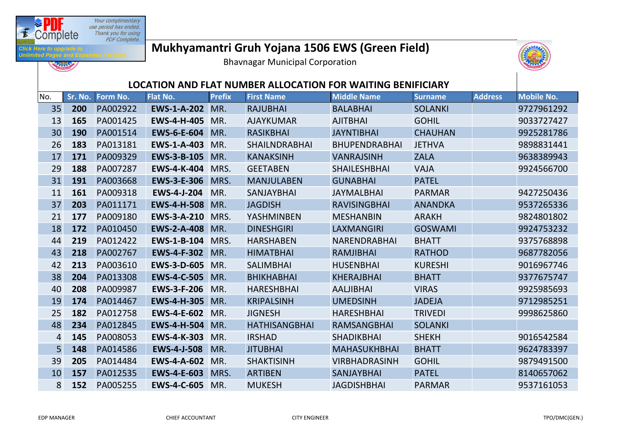

**REAL** 

**Unlimited** 

## **Mukhyamantri Gruh Yojana 1506 EWS (Green Field)**

Bhavnagar Municipal Corporation



## **LOCATION AND FLAT NUMBER ALLOCATION FOR WAITING BENIFICIARY**

| No. |     | Sr. No. Form No. | <b>Flat No.</b>    | <b>Prefix</b> | <b>First Name</b>    | <b>Middle Name</b>   | <b>Surname</b> | <b>Address</b> | <b>Mobile No.</b> |
|-----|-----|------------------|--------------------|---------------|----------------------|----------------------|----------------|----------------|-------------------|
| 35  | 200 | PA002922         | <b>EWS-1-A-202</b> | MR.           | <b>RAJUBHAI</b>      | <b>BALABHAI</b>      | <b>SOLANKI</b> |                | 9727961292        |
| 13  | 165 | PA001425         | <b>EWS-4-H-405</b> | MR.           | <b>AJAYKUMAR</b>     | <b>AJITBHAI</b>      | <b>GOHIL</b>   |                | 9033727427        |
| 30  | 190 | PA001514         | <b>EWS-6-E-604</b> | MR.           | <b>RASIKBHAI</b>     | <b>JAYNTIBHAI</b>    | <b>CHAUHAN</b> |                | 9925281786        |
| 26  | 183 | PA013181         | <b>EWS-1-A-403</b> | MR.           | <b>SHAILNDRABHAI</b> | <b>BHUPENDRABHAI</b> | <b>JETHVA</b>  |                | 9898831441        |
| 17  | 171 | PA009329         | <b>EWS-3-B-105</b> | MR.           | <b>KANAKSINH</b>     | <b>VANRAJSINH</b>    | <b>ZALA</b>    |                | 9638389943        |
| 29  | 188 | PA007287         | <b>EWS-4-K-404</b> | MRS.          | <b>GEETABEN</b>      | <b>SHAILESHBHAI</b>  | <b>VAJA</b>    |                | 9924566700        |
| 31  | 191 | PA003668         | <b>EWS-3-E-306</b> | MRS.          | <b>MANJULABEN</b>    | <b>GUNABHAI</b>      | <b>PATEL</b>   |                |                   |
| 11  | 161 | PA009318         | <b>EWS-4-J-204</b> | MR.           | <b>SANJAYBHAI</b>    | <b>JAYMALBHAI</b>    | <b>PARMAR</b>  |                | 9427250436        |
| 37  | 203 | PA011171         | <b>EWS-4-H-508</b> | MR.           | <b>JAGDISH</b>       | <b>RAVISINGBHAI</b>  | <b>ANANDKA</b> |                | 9537265336        |
| 21  | 177 | PA009180         | <b>EWS-3-A-210</b> | MRS.          | YASHMINBEN           | <b>MESHANBIN</b>     | <b>ARAKH</b>   |                | 9824801802        |
| 18  | 172 | PA010450         | <b>EWS-2-A-408</b> | MR.           | <b>DINESHGIRI</b>    | <b>LAXMANGIRI</b>    | <b>GOSWAMI</b> |                | 9924753232        |
| 44  | 219 | PA012422         | <b>EWS-1-B-104</b> | MRS.          | <b>HARSHABEN</b>     | <b>NARENDRABHAI</b>  | <b>BHATT</b>   |                | 9375768898        |
| 43  | 218 | PA002767         | <b>EWS-4-F-302</b> | MR.           | <b>HIMATBHAI</b>     | <b>RAMJIBHAI</b>     | <b>RATHOD</b>  |                | 9687782056        |
| 42  | 213 | PA003610         | <b>EWS-3-D-605</b> | MR.           | <b>SALIMBHAI</b>     | <b>HUSENBHAI</b>     | <b>KURESHI</b> |                | 9016967746        |
| 38  | 204 | PA013308         | <b>EWS-4-C-505</b> | MR.           | <b>BHIKHABHAI</b>    | <b>KHERAJBHAI</b>    | <b>BHATT</b>   |                | 9377675747        |
| 40  | 208 | PA009987         | <b>EWS-3-F-206</b> | MR.           | <b>HARESHBHAI</b>    | <b>AALJIBHAI</b>     | <b>VIRAS</b>   |                | 9925985693        |
| 19  | 174 | PA014467         | <b>EWS-4-H-305</b> | MR.           | <b>KRIPALSINH</b>    | <b>UMEDSINH</b>      | <b>JADEJA</b>  |                | 9712985251        |
| 25  | 182 | PA012758         | <b>EWS-4-E-602</b> | MR.           | <b>JIGNESH</b>       | <b>HARESHBHAI</b>    | <b>TRIVEDI</b> |                | 9998625860        |
| 48  | 234 | PA012845         | <b>EWS-4-H-504</b> | MR.           | <b>HATHISANGBHAI</b> | <b>RAMSANGBHAI</b>   | <b>SOLANKI</b> |                |                   |
| 4   | 145 | PA008053         | <b>EWS-4-K-303</b> | MR.           | <b>IRSHAD</b>        | <b>SHADIKBHAI</b>    | <b>SHEKH</b>   |                | 9016542584        |
| 5   | 148 | PA014586         | <b>EWS-4-J-508</b> | MR.           | <b>JITUBHAI</b>      | <b>MAHASUKHBHAI</b>  | <b>BHATT</b>   |                | 9624783397        |
| 39  | 205 | PA014484         | <b>EWS-4-A-602</b> | MR.           | <b>SHAKTISINH</b>    | <b>VIRBHADRASINH</b> | <b>GOHIL</b>   |                | 9879491500        |
| 10  | 157 | PA012535         | <b>EWS-4-E-603</b> | MRS.          | <b>ARTIBEN</b>       | <b>SANJAYBHAI</b>    | <b>PATEL</b>   |                | 8140657062        |
| 8   | 152 | PA005255         | <b>EWS-4-C-605</b> | MR.           | <b>MUKESH</b>        | <b>JAGDISHBHAI</b>   | <b>PARMAR</b>  |                | 9537161053        |